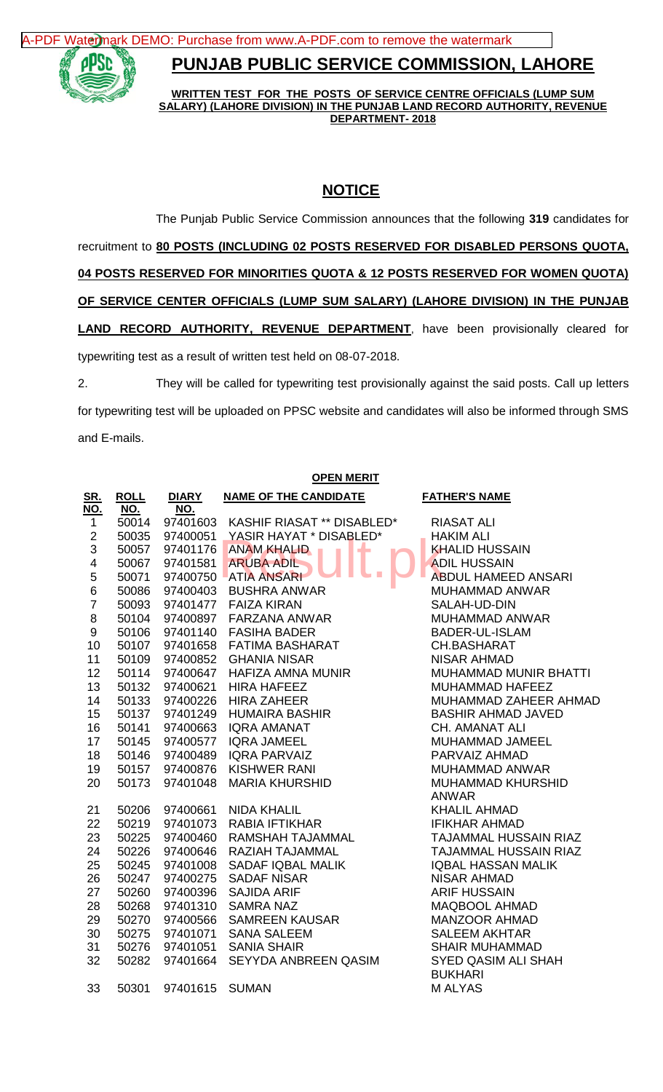[A-PDF Watermark DEMO: Purchase from www.A-PDF.com to remove the watermark](http://www.a-pdf.com/?wm-demo)



## **PUNJAB PUBLIC SERVICE COMMISSION, LAHORE**

**WRITTEN TEST FOR THE POSTS OF SERVICE CENTRE OFFICIALS (LUMP SUM SALARY) (LAHORE DIVISION) IN THE PUNJAB LAND RECORD AUTHORITY, REVENUE DEPARTMENT- 2018**

## **NOTICE**

The Punjab Public Service Commission announces that the following **319** candidates for recruitment to **80 POSTS (INCLUDING 02 POSTS RESERVED FOR DISABLED PERSONS QUOTA, 04 POSTS RESERVED FOR MINORITIES QUOTA & 12 POSTS RESERVED FOR WOMEN QUOTA) OF SERVICE CENTER OFFICIALS (LUMP SUM SALARY) (LAHORE DIVISION) IN THE PUNJAB LAND RECORD AUTHORITY, REVENUE DEPARTMENT**, have been provisionally cleared for typewriting test as a result of written test held on 08-07-2018. 2. They will be called for typewriting test provisionally against the said posts. Call up letters

for typewriting test will be uploaded on PPSC website and candidates will also be informed through SMS and E-mails.

| <b>OPEN MERIT</b>       |                |                      |                              |                                   |  |
|-------------------------|----------------|----------------------|------------------------------|-----------------------------------|--|
| <u>SR.</u>              | <b>ROLL</b>    | <b>DIARY</b>         | <b>NAME OF THE CANDIDATE</b> | <b>FATHER'S NAME</b>              |  |
| NO.                     | NO.            | NO.                  |                              |                                   |  |
| $\mathbf{1}$            | 50014          | 97401603             | KASHIF RIASAT ** DISABLED*   | <b>RIASAT ALI</b>                 |  |
| $\overline{\mathbf{c}}$ | 50035          | 97400051             | YASIR HAYAT * DISABLED*      | <b>HAKIM ALI</b>                  |  |
| $\overline{3}$          | 50057          | 97401176             | <b>ANAM KHALID</b>           | <b>KHALID HUSSAIN</b>             |  |
| 4                       | 50067          | 97401581             | <b>ARUBA ADIL</b>            | <b>ADIL HUSSAIN</b>               |  |
| 5                       | 50071          | 97400750             | <b>ATIA ANSARI</b>           | <b>ABDUL HAMEED ANSARI</b>        |  |
| 6                       | 50086          | 97400403             | <b>BUSHRA ANWAR</b>          | <b>MUHAMMAD ANWAR</b>             |  |
| $\overline{7}$          | 50093          | 97401477             | <b>FAIZA KIRAN</b>           | SALAH-UD-DIN                      |  |
| 8                       | 50104          | 97400897             | <b>FARZANA ANWAR</b>         | MUHAMMAD ANWAR                    |  |
| 9                       | 50106          | 97401140             | <b>FASIHA BADER</b>          | <b>BADER-UL-ISLAM</b>             |  |
| 10                      | 50107          | 97401658             | <b>FATIMA BASHARAT</b>       | CH.BASHARAT                       |  |
| 11                      | 50109          | 97400852             | <b>GHANIA NISAR</b>          | <b>NISAR AHMAD</b>                |  |
| 12                      | 50114          | 97400647             | HAFIZA AMNA MUNIR            | <b>MUHAMMAD MUNIR BHATTI</b>      |  |
| 13                      | 50132          | 97400621             | <b>HIRA HAFEEZ</b>           | MUHAMMAD HAFEEZ                   |  |
| 14                      | 50133          | 97400226             | <b>HIRA ZAHEER</b>           | MUHAMMAD ZAHEER AHMAD             |  |
| 15                      | 50137          | 97401249             | <b>HUMAIRA BASHIR</b>        | <b>BASHIR AHMAD JAVED</b>         |  |
| 16                      | 50141          | 97400663             | <b>IQRA AMANAT</b>           | <b>CH. AMANAT ALI</b>             |  |
| 17                      | 50145          | 97400577             | <b>IQRA JAMEEL</b>           | MUHAMMAD JAMEEL                   |  |
| 18                      | 50146          | 97400489             | <b>IQRA PARVAIZ</b>          | PARVAIZ AHMAD                     |  |
| 19                      | 50157          | 97400876             | <b>KISHWER RANI</b>          | <b>MUHAMMAD ANWAR</b>             |  |
| 20                      | 50173          | 97401048             | <b>MARIA KHURSHID</b>        | MUHAMMAD KHURSHID<br><b>ANWAR</b> |  |
|                         |                |                      | <b>NIDA KHALIL</b>           | <b>KHALIL AHMAD</b>               |  |
| 21<br>22                | 50206<br>50219 | 97400661<br>97401073 | <b>RABIA IFTIKHAR</b>        | <b>IFIKHAR AHMAD</b>              |  |
| 23                      | 50225          | 97400460             | RAMSHAH TAJAMMAL             | <b>TAJAMMAL HUSSAIN RIAZ</b>      |  |
| 24                      | 50226          | 97400646             | RAZIAH TAJAMMAL              | <b>TAJAMMAL HUSSAIN RIAZ</b>      |  |
| 25                      | 50245          | 97401008             | SADAF IQBAL MALIK            | <b>IQBAL HASSAN MALIK</b>         |  |
| 26                      | 50247          | 97400275             | <b>SADAF NISAR</b>           | <b>NISAR AHMAD</b>                |  |
| 27                      | 50260          | 97400396             | <b>SAJIDA ARIF</b>           | <b>ARIF HUSSAIN</b>               |  |
| 28                      | 50268          | 97401310             | <b>SAMRA NAZ</b>             | <b>MAQBOOL AHMAD</b>              |  |
| 29                      | 50270          | 97400566             | <b>SAMREEN KAUSAR</b>        | <b>MANZOOR AHMAD</b>              |  |
| 30                      | 50275          | 97401071             | <b>SANA SALEEM</b>           | <b>SALEEM AKHTAR</b>              |  |
| 31                      | 50276          | 97401051             | <b>SANIA SHAIR</b>           | <b>SHAIR MUHAMMAD</b>             |  |
| 32                      | 50282          | 97401664             | SEYYDA ANBREEN QASIM         | <b>SYED QASIM ALI SHAH</b>        |  |
|                         |                |                      |                              | <b>BUKHARI</b>                    |  |
| 33                      | 50301          | 97401615             | <b>SUMAN</b>                 | <b>MALYAS</b>                     |  |
|                         |                |                      |                              |                                   |  |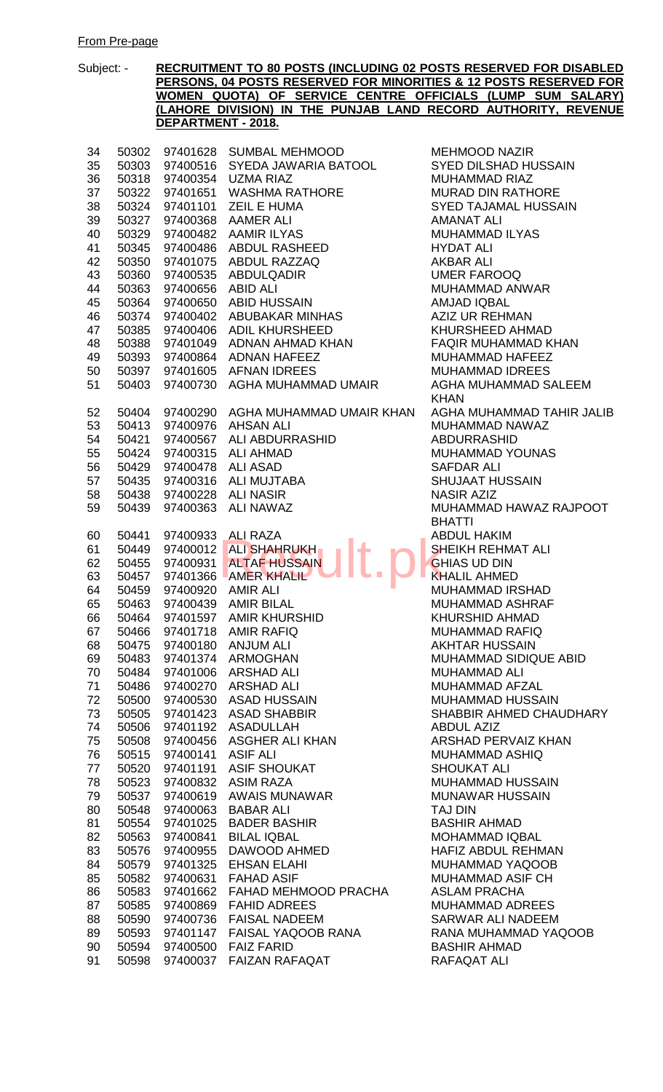| 34 | 50302 | 97401628          | SUMBAL MEHMOOD                | MEHMOOD N/          |
|----|-------|-------------------|-------------------------------|---------------------|
| 35 | 50303 | 97400516          | SYEDA JAWARIA BATOOL          | <b>SYED DILSHA</b>  |
| 36 | 50318 | 97400354          | <b>UZMA RIAZ</b>              | <b>MUHAMMAD F</b>   |
| 37 | 50322 | 97401651          | WASHMA RATHORE                | <b>MURAD DIN R</b>  |
| 38 | 50324 | 97401101          | <b>ZEIL E HUMA</b>            | <b>SYED TAJAMA</b>  |
| 39 | 50327 | 97400368          | <b>AAMER ALI</b>              | <b>AMANAT ALI</b>   |
| 40 | 50329 | 97400482          | <b>AAMIR ILYAS</b>            | <b>MUHAMMAD I</b>   |
| 41 | 50345 | 97400486          | ABDUL RASHEED                 | <b>HYDAT ALI</b>    |
| 42 | 50350 |                   | 97401075 ABDUL RAZZAQ         | <b>AKBAR ALI</b>    |
| 43 | 50360 | 97400535          | ABDULQADIR                    | <b>UMER FAROC</b>   |
| 44 | 50363 | 97400656          | ABID ALI                      | MUHAMMAD A          |
| 45 | 50364 |                   | 97400650 ABID HUSSAIN         | <b>AMJAD IQBAL</b>  |
| 46 | 50374 |                   | 97400402 ABUBAKAR MINHAS      | <b>AZIZ UR REHN</b> |
| 47 | 50385 | 97400406          | <b>ADIL KHURSHEED</b>         | KHURSHEED.          |
| 48 | 50388 | 97401049          | ADNAN AHMAD KHAN              | <b>FAQIR MUHAN</b>  |
| 49 | 50393 | 97400864          | <b>ADNAN HAFEEZ</b>           | <b>MUHAMMAD I</b>   |
| 50 | 50397 | 97401605          | <b>AFNAN IDREES</b>           | <b>MUHAMMAD I</b>   |
| 51 | 50403 | 97400730          | AGHA MUHAMMAD UMAIR           | <b>AGHA MUHAN</b>   |
|    |       |                   |                               | <b>KHAN</b>         |
| 52 | 50404 | 97400290          | AGHA MUHAMMAD UMAIR KHAN      | <b>AGHA MUHAN</b>   |
| 53 | 50413 | 97400976          | AHSAN ALI                     | <b>MUHAMMAD N</b>   |
| 54 | 50421 |                   | 97400567 ALI ABDURRASHID      | <b>ABDURRASHI</b>   |
| 55 | 50424 | 97400315          | <b>ALI AHMAD</b>              | <b>MUHAMMAD</b>     |
| 56 | 50429 | 97400478          | <b>ALI ASAD</b>               | <b>SAFDAR ALI</b>   |
| 57 | 50435 |                   | 97400316 ALI MUJTABA          | <b>SHUJAAT HUS</b>  |
| 58 | 50438 |                   | 97400228 ALI NASIR            | <b>NASIR AZIZ</b>   |
| 59 | 50439 | 97400363          | ALI NAWAZ                     | <b>MUHAMMAD I</b>   |
|    |       |                   |                               | <b>BHATTI</b>       |
| 60 | 50441 |                   | 97400933 ALI RAZA             | <b>ABDUL HAKIN</b>  |
| 61 | 50449 |                   | 97400012 ALI SHAHRUKH         | <b>SHEIKH REHN</b>  |
| 62 | 50455 | 97400931          | <b>ALTAF HUSSAIN</b>          | <b>GHIAS UD DIN</b> |
| 63 | 50457 |                   | 97401366 AMER KHALIL          | <b>KHALIL AHME</b>  |
| 64 | 50459 | 97400920          | AMIR ALI                      | <b>MUHAMMAD I</b>   |
| 65 | 50463 |                   | 97400439 AMIR BILAL           | MUHAMMAD /          |
| 66 | 50464 | 97401597          | <b>AMIR KHURSHID</b>          | <b>KHURSHID AF</b>  |
| 67 |       |                   | 50466 97401718 AMIR RAFIQ     | <b>MUHAMMAD F</b>   |
| 68 |       |                   | 50475 97400180 ANJUM ALI      | <b>AKHTAR HUS:</b>  |
| 69 | 50483 |                   | 97401374 ARMOGHAN             | <b>MUHAMMADS</b>    |
| 70 | 50484 |                   | 97401006 ARSHAD ALI           | MUHAMMAD /          |
| 71 | 50486 |                   | 97400270 ARSHAD ALI           | MUHAMMAD /          |
| 72 | 50500 |                   | 97400530 ASAD HUSSAIN         | <b>MUHAMMAD H</b>   |
| 73 | 50505 |                   | 97401423 ASAD SHABBIR         | <b>SHABBIR AHM</b>  |
| 74 | 50506 |                   | 97401192 ASADULLAH            | <b>ABDUL AZIZ</b>   |
| 75 | 50508 |                   | 97400456 ASGHER ALI KHAN      | <b>ARSHAD PER</b>   |
| 76 | 50515 | 97400141 ASIF ALI |                               | MUHAMMAD /          |
| 77 | 50520 |                   | 97401191 ASIF SHOUKAT         | <b>SHOUKAT ALI</b>  |
| 78 | 50523 |                   | 97400832 ASIM RAZA            | <b>MUHAMMAD H</b>   |
| 79 | 50537 | 97400619          | AWAIS MUNAWAR                 | <b>MUNAWAR HU</b>   |
| 80 | 50548 | 97400063          | <b>BABAR ALI</b>              | <b>TAJ DIN</b>      |
| 81 | 50554 |                   | 97401025 BADER BASHIR         | <b>BASHIR AHMA</b>  |
| 82 | 50563 |                   | 97400841 BILAL IQBAL          | <b>MOHAMMAD I</b>   |
| 83 | 50576 |                   | 97400955 DAWOOD AHMED         | <b>HAFIZ ABDUL</b>  |
| 84 | 50579 |                   | 97401325 EHSAN ELAHI          | <b>MUHAMMAD</b>     |
| 85 | 50582 |                   | 97400631 FAHAD ASIF           | MUHAMMAD A          |
| 86 | 50583 |                   | 97401662 FAHAD MEHMOOD PRACHA | <b>ASLAM PRACI</b>  |
| 87 | 50585 |                   | 97400869 FAHID ADREES         | MUHAMMAD A          |
| 88 | 50590 |                   | 97400736 FAISAL NADEEM        | <b>SARWAR ALI</b>   |
| 89 | 50593 |                   | 97401147 FAISAL YAQOOB RANA   | <b>RANA MUHAN</b>   |
| 90 | 50594 |                   | 97400500 FAIZ FARID           | <b>BASHIR AHMA</b>  |
| 91 |       |                   | 50598 97400037 FAIZAN RAFAQAT | RAFAQAT ALI         |
|    |       |                   |                               |                     |

**MEHMOOD NAZIR SYED DILSHAD HUSSAIN** MUHAMMAD RIAZ MURAD DIN RATHORE SYED TAJAMAL HUSSAIN **AMANAT ALI** MUHAMMAD ILYAS HYDAT ALI AKBAR ALI UMER FAROOQ MUHAMMAD ANWAR AMJAD IQBAL AZIZ UR REHMAN KHURSHEED AHMAD **FAQIR MUHAMMAD KHAN** MUHAMMAD HAFEEZ MUHAMMAD IDREES AGHA MUHAMMAD SALEEM KHAN 52 5040 AGHA MUHAMMAD TAHIR JALIB MUHAMMAD NAWAZ ABDURRASHID MUHAMMAD YOUNAS **SAFDAR ALI** SHUJAAT HUSSAIN **NASIR AZIZ** MUHAMMAD HAWAZ RAJPOOT **BHATTI ABDUL HAKIM** SHEIKH REHMAT ALI **GHIAS UD DIN KHALIL AHMED** MUHAMMAD IRSHAD MUHAMMAD ASHRAF KHURSHID AHMAD MUHAMMAD RAFIQ **AKHTAR HUSSAIN** MUHAMMAD SIDIQUE ABID MUHAMMAD ALI MUHAMMAD AFZAL MUHAMMAD HUSSAIN SHABBIR AHMED CHAUDHARY ABDUL AZIZ ARSHAD PERVAIZ KHAN MUHAMMAD ASHIQ SHOUKAT ALI MUHAMMAD HUSSAIN MUNAWAR HUSSAIN TAJ DIN BASHIR AHMAD MOHAMMAD IQBAL HAFIZ ABDUL REHMAN MUHAMMAD YAQOOB **MUHAMMAD ASIF CH** ASLAM PRACHA **MUHAMMAD ADREES** SARWAR ALI NADEEM RANA MUHAMMAD YAQOOB BASHIR AHMAD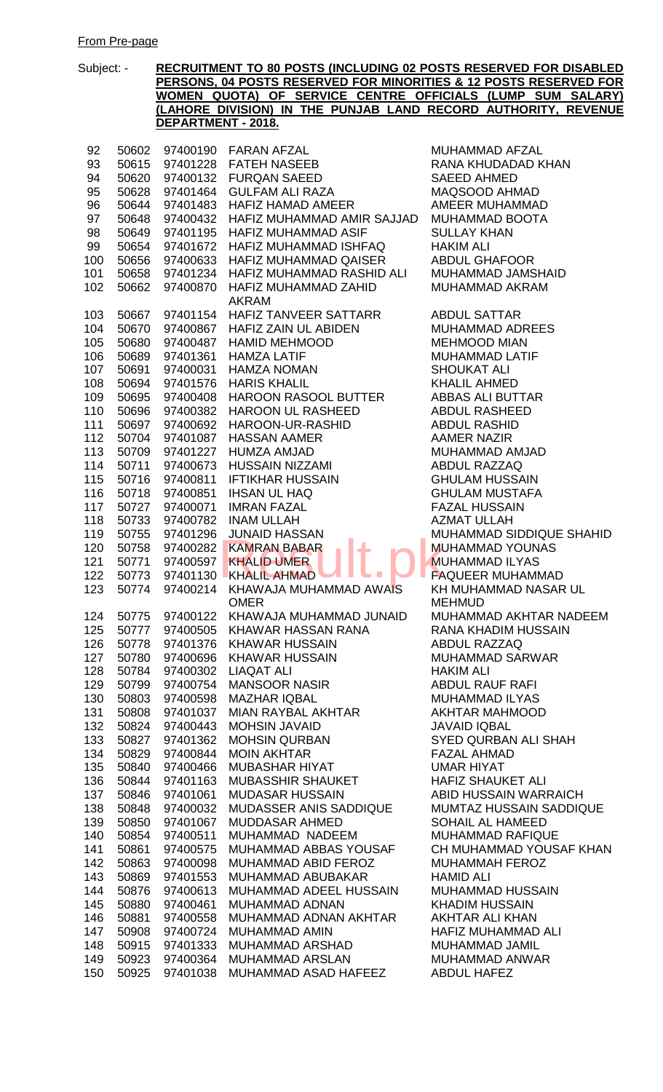| 92  | 50602 | 97400190 | FARAN AFZAL                   | Μl        |
|-----|-------|----------|-------------------------------|-----------|
| 93  | 50615 | 97401228 | <b>FATEH NASEEB</b>           | R/        |
| 94  | 50620 | 97400132 | <b>FURQAN SAEED</b>           | SA        |
| 95  | 50628 | 97401464 | <b>GULFAM ALI RAZA</b>        | M/        |
| 96  | 50644 | 97401483 | <b>HAFIZ HAMAD AMEER</b>      | A٨        |
| 97  | 50648 | 97400432 | HAFIZ MUHAMMAD AMIR SAJJAD    | M         |
| 98  | 50649 | 97401195 | <b>HAFIZ MUHAMMAD ASIF</b>    | Sl        |
| 99  | 50654 | 97401672 | HAFIZ MUHAMMAD ISHFAQ         | HA        |
| 100 | 50656 | 97400633 | <b>HAFIZ MUHAMMAD QAISER</b>  | AE        |
| 101 | 50658 | 97401234 | HAFIZ MUHAMMAD RASHID ALI     | M         |
| 102 | 50662 | 97400870 | HAFIZ MUHAMMAD ZAHID          | Μl        |
|     |       |          | <b>AKRAM</b>                  |           |
| 103 | 50667 | 97401154 | HAFIZ TANVEER SATTARR         | AE        |
| 104 | 50670 | 97400867 | HAFIZ ZAIN UL ABIDEN          | M         |
| 105 | 50680 | 97400487 | <b>HAMID MEHMOOD</b>          | M         |
| 106 | 50689 | 97401361 | <b>HAMZA LATIF</b>            | M         |
| 107 | 50691 | 97400031 | <b>HAMZA NOMAN</b>            | SF        |
| 108 | 50694 | 97401576 | <b>HARIS KHALIL</b>           | Kŀ        |
| 109 | 50695 | 97400408 | <b>HAROON RASOOL BUTTER</b>   | AE        |
| 110 | 50696 | 97400382 | HAROON UL RASHEED             | AE        |
| 111 | 50697 | 97400692 | HAROON-UR-RASHID              | AE        |
| 112 | 50704 | 97401087 | <b>HASSAN AAMER</b>           | AA        |
| 113 | 50709 | 97401227 | <b>HUMZA AMJAD</b>            | M         |
|     |       |          | <b>HUSSAIN NIZZAMI</b>        | AE        |
| 114 | 50711 | 97400673 | <b>IFTIKHAR HUSSAIN</b>       |           |
| 115 | 50716 | 97400811 |                               | Gŀ        |
| 116 | 50718 | 97400851 | <b>IHSAN UL HAQ</b>           | Gŀ        |
| 117 | 50727 | 97400071 | <b>IMRAN FAZAL</b>            | FA        |
| 118 | 50733 | 97400782 | <b>INAM ULLAH</b>             | AZ        |
| 119 | 50755 | 97401296 | <b>JUNAID HASSAN</b>          | M         |
| 120 | 50758 | 97400282 | <b>KAMRAN BABAR</b>           | M         |
| 121 | 50771 | 97400597 | <b>KHALID UMER</b>            | M         |
| 122 | 50773 | 97401130 | <b>KHALIL AHMAD</b>           | FA        |
| 123 | 50774 | 97400214 | KHAWAJA MUHAMMAD AWAIS        | Kŀ        |
|     |       |          | <b>OMER</b>                   | M         |
| 124 | 50775 | 97400122 | KHAWAJA MUHAMMAD JUNAID       | M         |
| 125 | 50777 | 97400505 | <b>KHAWAR HASSAN RANA</b>     | R۶        |
| 126 | 50778 | 97401376 | <b>KHAWAR HUSSAIN</b>         | AE        |
| 127 | 50780 | 97400696 | <b>KHAWAR HUSSAIN</b>         | M         |
| 128 | 50784 | 97400302 | <b>LIAQAT ALI</b>             | H/        |
| 129 | 50799 | 97400754 | <b>MANSOOR NASIR</b>          | AE        |
| 130 | 50803 | 97400598 | <b>MAZHAR IQBAL</b>           | M         |
| 131 | 50808 | 97401037 | <b>MIAN RAYBAL AKHTAR</b>     | Ak        |
| 132 | 50824 | 97400443 | <b>MOHSIN JAVAID</b>          | JA        |
| 133 | 50827 | 97401362 | <b>MOHSIN QURBAN</b>          | SY        |
| 134 | 50829 | 97400844 | <b>MOIN AKHTAR</b>            | FA        |
| 135 | 50840 | 97400466 | <b>MUBASHAR HIYAT</b>         | UN        |
| 136 | 50844 | 97401163 | <b>MUBASSHIR SHAUKET</b>      | H/        |
| 137 | 50846 | 97401061 | <b>MUDASAR HUSSAIN</b>        | AE        |
| 138 | 50848 | 97400032 | <b>MUDASSER ANIS SADDIQUE</b> | M         |
| 139 | 50850 | 97401067 | <b>MUDDASAR AHMED</b>         | <b>SC</b> |
| 140 | 50854 | 97400511 | MUHAMMAD NADEEM               | M         |
| 141 | 50861 | 97400575 | MUHAMMAD ABBAS YOUSAF         | Cŀ        |
| 142 | 50863 | 97400098 | MUHAMMAD ABID FEROZ           | M         |
| 143 | 50869 | 97401553 | MUHAMMAD ABUBAKAR             | HA        |
| 144 | 50876 | 97400613 | MUHAMMAD ADEEL HUSSAIN        | M         |
| 145 | 50880 | 97400461 | <b>MUHAMMAD ADNAN</b>         | Kŀ        |
| 146 | 50881 | 97400558 | MUHAMMAD ADNAN AKHTAR         | Ak        |
| 147 | 50908 | 97400724 | <b>MUHAMMAD AMIN</b>          | H/        |
| 148 | 50915 | 97401333 | MUHAMMAD ARSHAD               | M         |
| 149 | 50923 | 97400364 | <b>MUHAMMAD ARSLAN</b>        | Μ         |
| 150 | 50925 | 97401038 | MUHAMMAD ASAD HAFEEZ          | AE        |

MUHAMMAD AFZAL RANA KHUDADAD KHAN SAEED AHMED MAQSOOD AHMAD AMEER MUHAMMAD MUHAMMAD BOOTA SULLAY KHAN HAKIM ALI ABDUL GHAFOOR MUHAMMAD JAMSHAID MUHAMMAD AKRAM ABDUL SATTAR MUHAMMAD ADREES **MEHMOOD MIAN** MUHAMMAD LATIF SHOUKAT ALI KHALIL AHMED ABBAS ALI BUTTAR ABDUL RASHEED **ABDUL RASHID** AAMER NAZIR MUHAMMAD AMJAD ABDUL RAZZAQ **GHULAM HUSSAIN GHULAM MUSTAFA FAZAL HUSSAIN** AZMAT ULLAH MUHAMMAD SIDDIQUE SHAHID MUHAMMAD YOUNAS **MUHAMMAD ILYAS** FAQUEER MUHAMMAD KH MUHAMMAD NASAR UL MEHMUD MUHAMMAD AKHTAR NADEEM RANA KHADIM HUSSAIN ABDUL RAZZAQ MUHAMMAD SARWAR **HAKIM ALI ABDUL RAUF RAFI** MUHAMMAD ILYAS AKHTAR MAHMOOD JAVAID IQBAL **SYED QURBAN ALI SHAH** FAZAL AHMAD UMAR HIYAT HAFIZ SHAUKET ALI ABID HUSSAIN WARRAICH MUMTAZ HUSSAIN SADDIQUE SOHAIL AL HAMEED MUHAMMAD RAFIQUE CH MUHAMMAD YOUSAF KHAN MUHAMMAH FEROZ HAMID ALI MUHAMMAD HUSSAIN KHADIM HUSSAIN AKHTAR ALI KHAN HAFIZ MUHAMMAD ALI MUHAMMAD JAMIL MUHAMMAD ANWAR ABDUL HAFEZ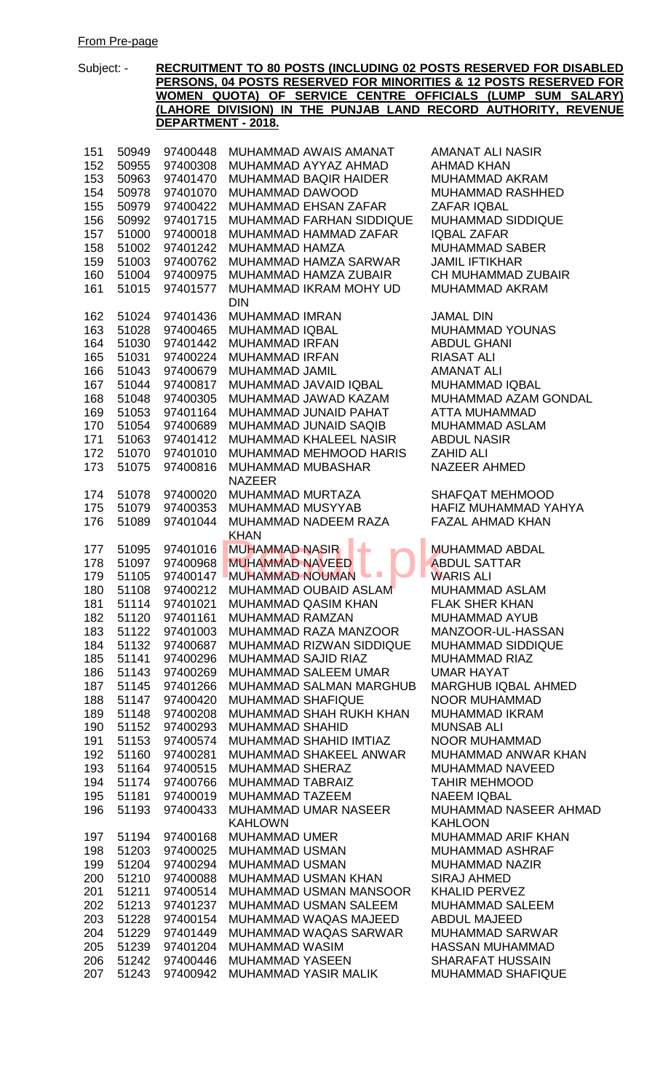Subject: - **RECRUITMENT TO 80 POSTS (INCLUDING 02 POSTS RESERVED FOR DISABLED PERSONS, 04 POSTS RESERVED FOR MINORITIES & 12 POSTS RESERVED FOR WOMEN QUOTA) OF SERVICE CENTRE OFFICIALS (LUMP SUM SALARY) (LAHORE DIVISION) IN THE PUNJAB LAND RECORD AUTHORITY, REVENUE DEPARTMENT - 2018.** 50949 97400448 MUHAMMAD AWAIS AMANAT AMANAT ALI NASIR 50955 97400308 MUHAMMAD AYYAZ AHMAD AHMAD KHAN 50963 97401470 MUHAMMAD BAQIR HAIDER MUHAMMAD AKRAM 50978 97401070 MUHAMMAD DAWOOD MUHAMMAD RASHHED 155 50979 97400422 MUHAMMAD EHSAN ZAFAR ZAFAR IQBAL<br>156 50992 97401715 MUHAMMAD FARHAN SIDDIQUE MUHAMMAD SIDDIQUE 156 50992 97401715 MUHAMMAD FARHAN SIDDIQUE 51000 97400018 MUHAMMAD HAMMAD ZAFAR IQBAL ZAFAR 158 51002 97401242 MUHAMMAD HAMZA MUHAMMAD SABER 51003 97400762 MUHAMMAD HAMZA SARWAR JAMIL IFTIKHAR 51004 97400975 MUHAMMAD HAMZA ZUBAIR CH MUHAMMAD ZUBAIR 51015 97401577 MUHAMMAD IKRAM MOHY UD DIN MUHAMMAD AKRAM 51024 97401436 MUHAMMAD IMRAN JAMAL DIN 163 51028 97400465 MUHAMMADIQBAL MUHAMMAD YOUNAS<br>164 51030 97401442 MUHAMMADIRFAN ABDULGHANI 51030 97401442 MUHAMMAD IRFAN ABDUL GHANI 51031 97400224 MUHAMMAD IRFAN RIASAT ALI 51043 97400679 MUHAMMAD JAMIL AMANAT ALI 51044 97400817 MUHAMMAD JAVAID IQBAL MUHAMMAD IQBAL 51048 97400305 MUHAMMAD JAWAD KAZAM MUHAMMAD AZAM GONDAL 169 51053 97401164 MUHAMMAD JUNAID PAHAT ATTA MUHAMMAD 51054 97400689 MUHAMMAD JUNAID SAQIB MUHAMMAD ASLAM 51063 97401412 MUHAMMAD KHALEEL NASIR ABDUL NASIR 51070 97401010 MUHAMMAD MEHMOOD HARIS ZAHID ALI 51075 97400816 MUHAMMAD MUBASHAR NAZEER NAZEER AHMED 51078 97400020 MUHAMMAD MURTAZA SHAFQAT MEHMOOD 51079 97400353 MUHAMMAD MUSYYAB HAFIZ MUHAMMAD YAHYA 51089 97401044 MUHAMMAD NADEEM RAZA **KHAN** FAZAL AHMAD KHAN 177 51095 97401016 MUHAMMAD NASIR MUHAMMAD ABDAL 178 51097 97400968 MUHAMMAD NAVEED ABDUL SATTAR 177 51095 97401016 MUHAMMAD NASIR<br>178 51097 97400968 MUHAMMAD NAVEED ABDUL SA<br>179 51105 97400147 MUHAMMAD NOUMAN WARIS ALI 51108 97400212 MUHAMMAD OUBAID ASLAM MUHAMMAD ASLAM 51114 97401021 MUHAMMAD QASIM KHAN FLAK SHER KHAN 51120 97401161 MUHAMMAD RAMZAN MUHAMMAD AYUB 51122 97401003 MUHAMMAD RAZA MANZOOR MANZOOR-UL-HASSAN 51132 97400687 MUHAMMAD RIZWAN SIDDIQUE MUHAMMAD SIDDIQUE 185 51141 97400296 MUHAMMAD SAJID RIAZ MUHAMMAD RIAZ 51143 97400269 MUHAMMAD SALEEM UMAR UMAR HAYAT 51145 97401266 MUHAMMAD SALMAN MARGHUB MARGHUB IQBAL AHMED 51147 97400420 MUHAMMAD SHAFIQUE NOOR MUHAMMAD 51148 97400208 MUHAMMAD SHAH RUKH KHAN MUHAMMAD IKRAM 51152 97400293 MUHAMMAD SHAHID MUNSAB ALI 191 51153 97400574 MUHAMMAD SHAHID IMTIAZ NOOR MUHAMMAD<br>192 51160 97400281 MUHAMMAD SHAKEEL ANWAR MUHAMMAD ANWAR KHAN 192 51160 97400281 MUHAMMAD SHAKEEL ANWAR 193 51164 97400515 MUHAMMAD SHERAZ MUHAMMAD NAVEED 51174 97400766 MUHAMMAD TABRAIZ TAHIR MEHMOOD 51181 97400019 MUHAMMAD TAZEEM NAEEM IQBAL 51193 97400433 MUHAMMAD UMAR NASEER KAHLOWN MUHAMMAD NASEER AHMAD KAHLOON 197 51194 97400168 MUHAMMAD UMER MUHAMMAD ARIF KHAN 51203 97400025 MUHAMMAD USMAN MUHAMMAD ASHRAF 51204 97400294 MUHAMMAD USMAN MUHAMMAD NAZIR 51210 97400088 MUHAMMAD USMAN KHAN SIRAJ AHMED 51211 97400514 MUHAMMAD USMAN MANSOOR KHALID PERVEZ 51213 97401237 MUHAMMAD USMAN SALEEM MUHAMMAD SALEEM 51228 97400154 MUHAMMAD WAQAS MAJEED ABDUL MAJEED 51229 97401449 MUHAMMAD WAQAS SARWAR MUHAMMAD SARWAR 51239 97401204 MUHAMMAD WASIM HASSAN MUHAMMAD

206 51242 97400446 MUHAMMAD YASEEN SHARAFAT HUSSAIN 207 51243 97400942 MUHAMMAD YASIR MALIK MUHAMMAD SHAFIQUE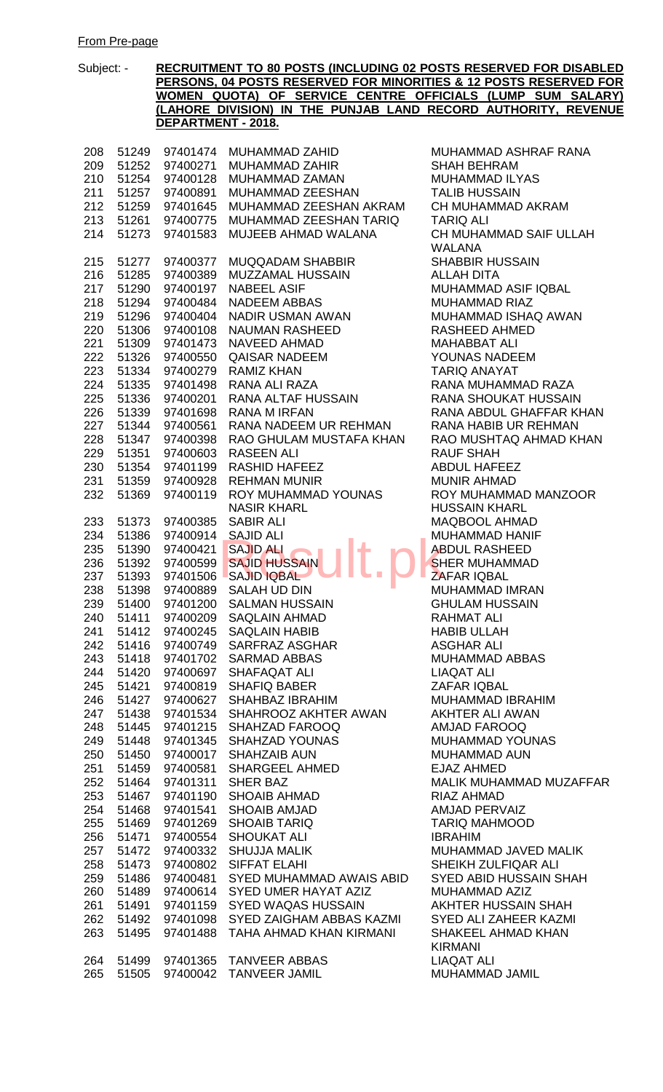| 208 | 51249 | 97401474 | MUHAMMAD ZAHID                    | MUHAMMAD ASHRAF RANA          |
|-----|-------|----------|-----------------------------------|-------------------------------|
| 209 | 51252 | 97400271 | MUHAMMAD ZAHIR                    | <b>SHAH BEHRAM</b>            |
| 210 | 51254 | 97400128 | MUHAMMAD ZAMAN                    | MUHAMMAD ILYAS                |
| 211 | 51257 | 97400891 | MUHAMMAD ZEESHAN                  | <b>TALIB HUSSAIN</b>          |
| 212 | 51259 | 97401645 | MUHAMMAD ZEESHAN AKRAM            | CH MUHAMMAD AKRAM             |
| 213 | 51261 | 97400775 | MUHAMMAD ZEESHAN TARIQ            | <b>TARIQ ALI</b>              |
| 214 | 51273 | 97401583 | MUJEEB AHMAD WALANA               | CH MUHAMMAD SAIF ULLAH        |
|     |       |          |                                   | <b>WALANA</b>                 |
| 215 | 51277 | 97400377 | <b>MUQQADAM SHABBIR</b>           | <b>SHABBIR HUSSAIN</b>        |
| 216 | 51285 | 97400389 | MUZZAMAL HUSSAIN                  | <b>ALLAH DITA</b>             |
| 217 |       |          | <b>NABEEL ASIF</b>                | MUHAMMAD ASIF IQBAL           |
|     | 51290 | 97400197 |                                   |                               |
| 218 | 51294 | 97400484 | NADEEM ABBAS                      | <b>MUHAMMAD RIAZ</b>          |
| 219 | 51296 | 97400404 | NADIR USMAN AWAN                  | MUHAMMAD ISHAQ AWAN           |
| 220 | 51306 | 97400108 | NAUMAN RASHEED                    | <b>RASHEED AHMED</b>          |
| 221 | 51309 | 97401473 | NAVEED AHMAD                      | <b>MAHABBAT ALI</b>           |
| 222 | 51326 | 97400550 | <b>QAISAR NADEEM</b>              | YOUNAS NADEEM                 |
| 223 | 51334 | 97400279 | <b>RAMIZ KHAN</b>                 | <b>TARIQ ANAYAT</b>           |
| 224 | 51335 | 97401498 | RANA ALI RAZA                     | RANA MUHAMMAD RAZA            |
| 225 | 51336 | 97400201 | RANA ALTAF HUSSAIN                | <b>RANA SHOUKAT HUSSAIN</b>   |
| 226 | 51339 | 97401698 | <b>RANA M IRFAN</b>               | RANA ABDUL GHAFFAR KHAN       |
| 227 | 51344 | 97400561 | RANA NADEEM UR REHMAN             | RANA HABIB UR REHMAN          |
| 228 | 51347 | 97400398 | RAO GHULAM MUSTAFA KHAN           | RAO MUSHTAQ AHMAD KHAN        |
| 229 | 51351 | 97400603 | <b>RASEEN ALI</b>                 | <b>RAUF SHAH</b>              |
| 230 | 51354 | 97401199 | RASHID HAFEEZ                     | <b>ABDUL HAFEEZ</b>           |
| 231 | 51359 | 97400928 | <b>REHMAN MUNIR</b>               | <b>MUNIR AHMAD</b>            |
| 232 | 51369 | 97400119 | ROY MUHAMMAD YOUNAS               | ROY MUHAMMAD MANZOOR          |
|     |       |          | <b>NASIR KHARL</b>                | <b>HUSSAIN KHARL</b>          |
| 233 | 51373 | 97400385 | <b>SABIR ALI</b>                  | MAQBOOL AHMAD                 |
| 234 | 51386 | 97400914 | <b>SAJID ALI</b>                  | MUHAMMAD HANIF                |
| 235 | 51390 | 97400421 | <b>SAJID ALI</b>                  | <b>ABDUL RASHEED</b>          |
| 236 | 51392 | 97400599 | <b>SAJID HUSSAIN</b>              | <b>SHER MUHAMMAD</b>          |
| 237 | 51393 | 97401506 | <b>SAJID IQBAL</b>                | ZAFAR IQBAL                   |
| 238 | 51398 | 97400889 | SALAH UD DIN                      | MUHAMMAD IMRAN                |
| 239 | 51400 |          | 97401200 SALMAN HUSSAIN           | <b>GHULAM HUSSAIN</b>         |
| 240 | 51411 | 97400209 | SAQLAIN AHMAD                     | <b>RAHMAT ALI</b>             |
|     |       |          | 241 51412 97400245 SAQLAIN HABIB  | <b>HABIB ULLAH</b>            |
| 242 | 51416 |          | 97400749 SARFRAZ ASGHAR           | <b>ASGHAR ALI</b>             |
| 243 | 51418 | 97401702 | <b>SARMAD ABBAS</b>               | <b>MUHAMMAD ABBAS</b>         |
| 244 | 51420 | 97400697 | SHAFAQAT ALI                      | <b>LIAQAT ALI</b>             |
|     | 51421 |          | <b>SHAFIQ BABER</b>               | <b>ZAFAR IQBAL</b>            |
| 245 |       | 97400819 |                                   |                               |
| 246 | 51427 | 97400627 | SHAHBAZ IBRAHIM                   | <b>MUHAMMAD IBRAHIM</b>       |
| 247 | 51438 |          | 97401534 SHAHROOZ AKHTER AWAN     | AKHTER ALI AWAN               |
| 248 | 51445 |          | 97401215 SHAHZAD FAROOQ           | <b>AMJAD FAROOQ</b>           |
| 249 | 51448 |          | 97401345 SHAHZAD YOUNAS           | <b>MUHAMMAD YOUNAS</b>        |
| 250 | 51450 |          | 97400017 SHAHZAIB AUN             | <b>MUHAMMAD AUN</b>           |
| 251 | 51459 | 97400581 | SHARGEEL AHMED                    | <b>EJAZ AHMED</b>             |
| 252 | 51464 | 97401311 | <b>SHER BAZ</b>                   | MALIK MUHAMMAD MUZAFFAR       |
| 253 | 51467 | 97401190 | SHOAIB AHMAD                      | RIAZ AHMAD                    |
| 254 | 51468 | 97401541 | <b>SHOAIB AMJAD</b>               | <b>AMJAD PERVAIZ</b>          |
| 255 | 51469 | 97401269 | SHOAIB TARIQ                      | <b>TARIQ MAHMOOD</b>          |
| 256 | 51471 | 97400554 | <b>SHOUKAT ALI</b>                | <b>IBRAHIM</b>                |
| 257 | 51472 |          | 97400332 SHUJJA MALIK             | MUHAMMAD JAVED MALIK          |
| 258 | 51473 |          | 97400802 SIFFAT ELAHI             | SHEIKH ZULFIQAR ALI           |
| 259 | 51486 |          | 97400481 SYED MUHAMMAD AWAIS ABID | <b>SYED ABID HUSSAIN SHAH</b> |
| 260 | 51489 |          | 97400614 SYED UMER HAYAT AZIZ     | MUHAMMAD AZIZ                 |
| 261 | 51491 | 97401159 | SYED WAQAS HUSSAIN                | AKHTER HUSSAIN SHAH           |
| 262 | 51492 | 97401098 | SYED ZAIGHAM ABBAS KAZMI          | SYED ALI ZAHEER KAZMI         |
| 263 | 51495 | 97401488 | TAHA AHMAD KHAN KIRMANI           | SHAKEEL AHMAD KHAN            |
|     |       |          |                                   | <b>KIRMANI</b>                |
| 264 | 51499 |          | 97401365 TANVEER ABBAS            | <b>LIAQAT ALI</b>             |
| 265 | 51505 |          | 97400042 TANVEER JAMIL            | MUHAMMAD JAMIL                |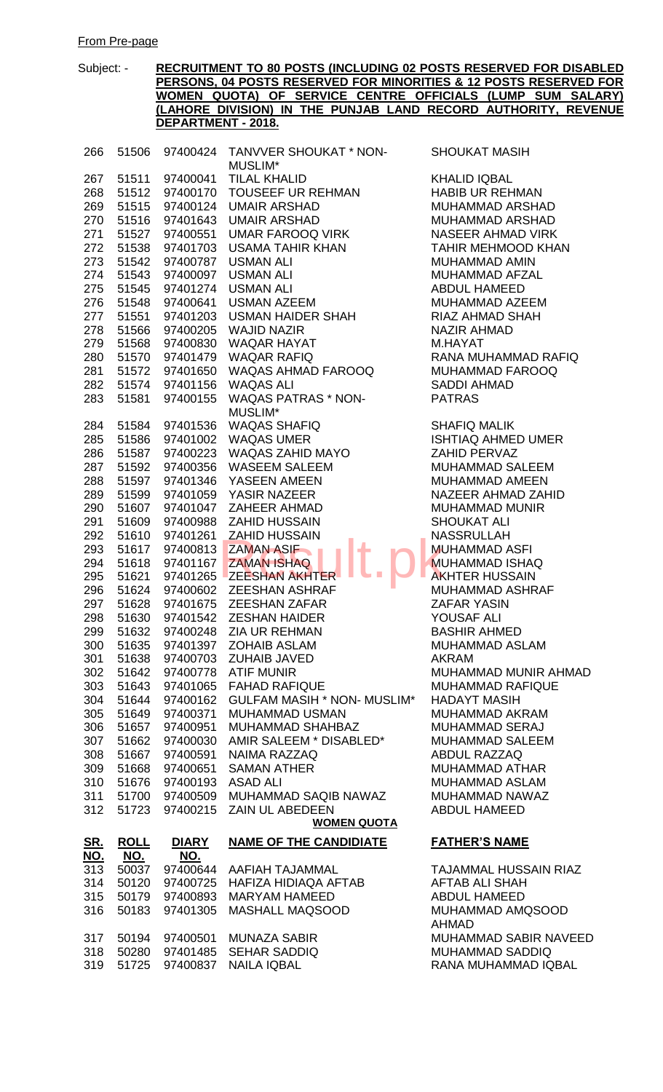| 266               | 51506          |                      | 97400424 TANVVER SHOUKAT * NON-         | <b>SHOUKAT MASIH</b>                   |
|-------------------|----------------|----------------------|-----------------------------------------|----------------------------------------|
| 267               | 51511          | 97400041             | MUSLIM*<br><b>TILAL KHALID</b>          | <b>KHALID IQBAL</b>                    |
| 268               | 51512          | 97400170             | <b>TOUSEEF UR REHMAN</b>                | <b>HABIB UR REHMA</b>                  |
| 269               | 51515          | 97400124             | <b>UMAIR ARSHAD</b>                     | <b>MUHAMMAD ARS</b>                    |
| 270               | 51516          | 97401643             | <b>UMAIR ARSHAD</b>                     | MUHAMMAD ARSI                          |
| 271               | 51527          | 97400551             | UMAR FAROOQ VIRK                        | <b>NASEER AHMAD</b>                    |
| 272               | 51538          | 97401703             | USAMA TAHIR KHAN                        | <b>TAHIR MEHMOOD</b>                   |
| 273               | 51542          | 97400787             | <b>USMAN ALI</b>                        | <b>MUHAMMAD AMIN</b>                   |
| 274               | 51543          | 97400097             | <b>USMAN ALI</b>                        | MUHAMMAD AFZ/                          |
| 275               | 51545          | 97401274             | <b>USMAN ALI</b>                        | ABDUL HAMEED                           |
| 276               | 51548          | 97400641             | <b>USMAN AZEEM</b>                      | <b>MUHAMMAD AZEI</b>                   |
| 277               | 51551          | 97401203             | USMAN HAIDER SHAH                       | <b>RIAZ AHMAD SHA</b>                  |
| 278               | 51566          | 97400205             | <b>WAJID NAZIR</b>                      | <b>NAZIR AHMAD</b>                     |
| 279               | 51568          | 97400830             | <b>WAQAR HAYAT</b>                      | M.HAYAT                                |
| 280               | 51570          | 97401479             | <b>WAQAR RAFIQ</b>                      | RANA MUHAMMAI                          |
| 281               | 51572          | 97401650             | WAQAS AHMAD FAROOQ                      | <b>MUHAMMAD FAR</b>                    |
| 282               | 51574          | 97401156             | <b>WAQAS ALI</b>                        | <b>SADDI AHMAD</b>                     |
|                   | 51581          | 97400155             | <b>WAQAS PATRAS * NON-</b>              | <b>PATRAS</b>                          |
| 283               |                |                      | MUSLIM*                                 |                                        |
| 284               | 51584          | 97401536             | <b>WAQAS SHAFIQ</b>                     | <b>SHAFIQ MALIK</b>                    |
| 285               | 51586          | 97401002             | <b>WAQAS UMER</b>                       | <b>ISHTIAQ AHMED I</b>                 |
| 286               | 51587          | 97400223             | WAQAS ZAHID MAYO                        | ZAHID PERVAZ                           |
| 287               | 51592          | 97400356             | <b>WASEEM SALEEM</b>                    | <b>MUHAMMAD SALE</b>                   |
| 288               | 51597          | 97401346             | YASEEN AMEEN                            | <b>MUHAMMAD AME</b>                    |
| 289               | 51599          | 97401059             | YASIR NAZEER                            | <b>NAZEER AHMAD 2</b>                  |
| 290               | 51607          | 97401047             | ZAHEER AHMAD                            | <b>MUHAMMAD MUN</b>                    |
| 291               | 51609          | 97400988             | <b>ZAHID HUSSAIN</b>                    | <b>SHOUKAT ALI</b>                     |
| 292               | 51610          | 97401261             | <b>ZAHID HUSSAIN</b>                    | <b>NASSRULLAH</b>                      |
| 293               | 51617          | 97400813             | <b>ZAMAN ASIF</b>                       | <b>MUHAMMAD ASFI</b>                   |
| 294               | 51618          | 97401167             | <b>ZAMAN ISHAQ</b>                      | <b>MUHAMMAD ISHA</b>                   |
| 295               | 51621          | 97401265             | <b>ZEESHAN AKHTER</b>                   | <b>AKHTER HUSSAIN</b>                  |
| 296               | 51624          | 97400602             | <b>ZEESHAN ASHRAF</b>                   | <b>MUHAMMAD ASH</b>                    |
| 297               | 51628          |                      | 97401675 ZEESHAN ZAFAR                  | <b>ZAFAR YASIN</b>                     |
| 298               | 51630          |                      | 97401542 ZESHAN HAIDER                  | YOUSAF ALI                             |
|                   |                |                      | 299 51632 97400248 ZIA UR REHMAN        | <b>BASHIR AHMED</b>                    |
| 300               | 51635          |                      | 97401397 ZOHAIB ASLAM                   | MUHAMMAD ASLA                          |
| 301               |                |                      | 51638 97400703 ZUHAIB JAVED             | <b>AKRAM</b>                           |
| 302               | 51642          |                      | 97400778 ATIF MUNIR                     | <b>MUHAMMAD MUN</b>                    |
| 303               | 51643          | 97401065             | <b>FAHAD RAFIQUE</b>                    | <b>MUHAMMAD RAFI</b>                   |
| 304               | 51644          | 97400162             | <b>GULFAM MASIH * NON- MUSLIM*</b>      | <b>HADAYT MASIH</b>                    |
| 305               | 51649          | 97400371             | <b>MUHAMMAD USMAN</b>                   | <b>MUHAMMAD AKR.</b>                   |
| 306               | 51657          | 97400951             | MUHAMMAD SHAHBAZ                        | <b>MUHAMMAD SER</b>                    |
| 307               | 51662          | 97400030             | AMIR SALEEM * DISABLED*                 | <b>MUHAMMAD SALE</b>                   |
| 308               | 51667          | 97400591             | NAIMA RAZZAQ                            | ABDUL RAZZAQ                           |
| 309               | 51668          | 97400651             | <b>SAMAN ATHER</b>                      | MUHAMMAD ATH                           |
| 310               | 51676          | 97400193             | ASAD ALI                                | <b>MUHAMMAD ASLA</b>                   |
| 311               |                | 51700 97400509       | MUHAMMAD SAQIB NAWAZ                    | <b>MUHAMMAD NAW</b>                    |
| 312               | 51723          | 97400215             | ZAIN UL ABEDEEN                         | ABDUL HAMEED                           |
|                   |                |                      | <b>WOMEN QUOTA</b>                      |                                        |
| <u>SR.</u>        | <b>ROLL</b>    | <b>DIARY</b>         | <b>NAME OF THE CANDIDIATE</b>           | <b>FATHER'S NAME</b>                   |
| <u>NO.</u><br>313 | <u>NO.</u>     | NO.                  |                                         |                                        |
| 314               | 50037<br>50120 | 97400644<br>97400725 | AAFIAH TAJAMMAL<br>HAFIZA HIDIAQA AFTAB | <b>TAJAMMAL HUSS</b><br>AFTAB ALI SHAH |
| 315               | 50179          | 97400893             | <b>MARYAM HAMEED</b>                    | ABDUL HAMEED                           |
| 316               | 50183          | 97401305             | MASHALL MAQSOOD                         | <b>MUHAMMAD AMQ</b>                    |
|                   |                |                      |                                         | <b>AHMAD</b>                           |
|                   |                |                      | 317 50194 97400501 MUNAZA SABIR         | <b>MUHAMMAD SARI</b>                   |

319 51725 97400837 NAILA IQBAL

**ALID IQBAL** BIB UR REHMAN IHAMMAD ARSHAD **HAMMAD ARSHAD** SEER AHMAD VIRK HIR MEHMOOD KHAN **HAMMAD AMIN IHAMMAD AFZAL** DUL HAMEED **IHAMMAD AZEEM** 2 AHMAD SHAH ZIR AHMAD<br>HAYAT NA MUHAMMAD RAFIQ **HAMMAD FAROOQ** DDI AHMAD **TRAS** 

**AFIQ MALIK ITIAQ AHMED UMER** HID PERVAZ **HAMMAD SALEEM HAMMAD AMEEN** ZEER AHMAD ZAHID **HAMMAD MUNIR OUKAT ALI SSRULLAH HAMMAD ASFI** IHAMMAD ISHAQ **HTER HUSSAIN IHAMMAD ASHRAF** FAR YASIN **USAF ALI SHIR AHMED IHAMMAD ASLAM** IHAMMAD MUNIR AHMAD **HAMMAD RAFIQUE** DAYT MASIH **HAMMAD AKRAM HAMMAD SERAJ HAMMAD SALEEM** DUL RAZZAQ **HAMMAD ATHAR IHAMMAD ASLAM IHAMMAD NAWAZ** DUL HAMEED

## **NAME OF THE CANDIDIATE FATHER'S NAME**

JAMMAL HUSSAIN RIAZ TAB ALI SHAH DUL HAMEED **IHAMMAD AMQSOOD** MAD MUHAMMAD SABIR NAVEED<br>MUHAMMAD SADDIO 318 50280 97401485 SEHAR SADDIQ MUHAMMAD SADDIQ